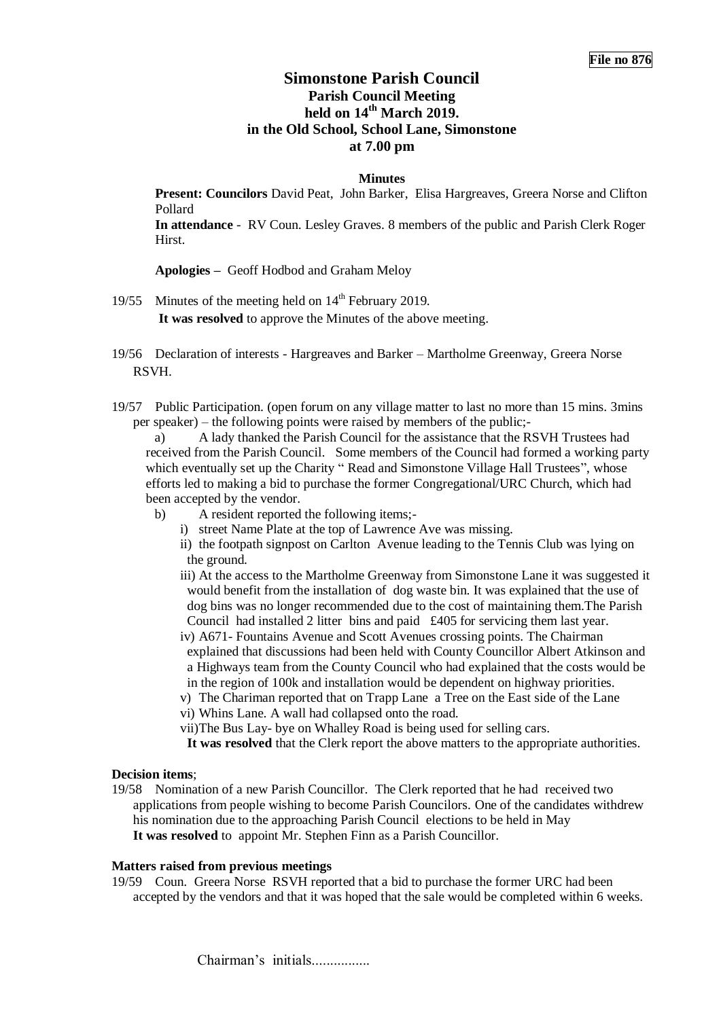# **Simonstone Parish Council Parish Council Meeting held on 14 th March 2019. in the Old School, School Lane, Simonstone at 7.00 pm**

## **Minutes**

**Present: Councilors** David Peat, John Barker, Elisa Hargreaves, Greera Norse and Clifton Pollard

**In attendance** - RV Coun. Lesley Graves. 8 members of the public and Parish Clerk Roger Hirst.

**Apologies –** Geoff Hodbod and Graham Meloy

- 19/55 Minutes of the meeting held on  $14<sup>th</sup>$  February 2019. **It was resolved** to approve the Minutes of the above meeting.
- 19/56 Declaration of interests Hargreaves and Barker Martholme Greenway, Greera Norse RSVH.
- 19/57 Public Participation. (open forum on any village matter to last no more than 15 mins. 3mins per speaker) – the following points were raised by members of the public;-

a) A lady thanked the Parish Council for the assistance that the RSVH Trustees had received from the Parish Council. Some members of the Council had formed a working party which eventually set up the Charity "Read and Simonstone Village Hall Trustees", whose efforts led to making a bid to purchase the former Congregational/URC Church, which had been accepted by the vendor.

- b) A resident reported the following items;
	- i) street Name Plate at the top of Lawrence Ave was missing.
	- ii) the footpath signpost on Carlton Avenue leading to the Tennis Club was lying on the ground.
	- iii) At the access to the Martholme Greenway from Simonstone Lane it was suggested it would benefit from the installation of dog waste bin. It was explained that the use of dog bins was no longer recommended due to the cost of maintaining them.The Parish Council had installed 2 litter bins and paid £405 for servicing them last year.
	- iv) A671- Fountains Avenue and Scott Avenues crossing points. The Chairman explained that discussions had been held with County Councillor Albert Atkinson and a Highways team from the County Council who had explained that the costs would be in the region of 100k and installation would be dependent on highway priorities.
	- v) The Chariman reported that on Trapp Lane a Tree on the East side of the Lane
	- vi) Whins Lane. A wall had collapsed onto the road.

vii)The Bus Lay- bye on Whalley Road is being used for selling cars.

**It was resolved** that the Clerk report the above matters to the appropriate authorities.

## **Decision items**;

19/58 Nomination of a new Parish Councillor. The Clerk reported that he had received two applications from people wishing to become Parish Councilors. One of the candidates withdrew his nomination due to the approaching Parish Council elections to be held in May **It was resolved** to appoint Mr. Stephen Finn as a Parish Councillor.

## **Matters raised from previous meetings**

19/59 Coun. Greera Norse RSVH reported that a bid to purchase the former URC had been accepted by the vendors and that it was hoped that the sale would be completed within 6 weeks.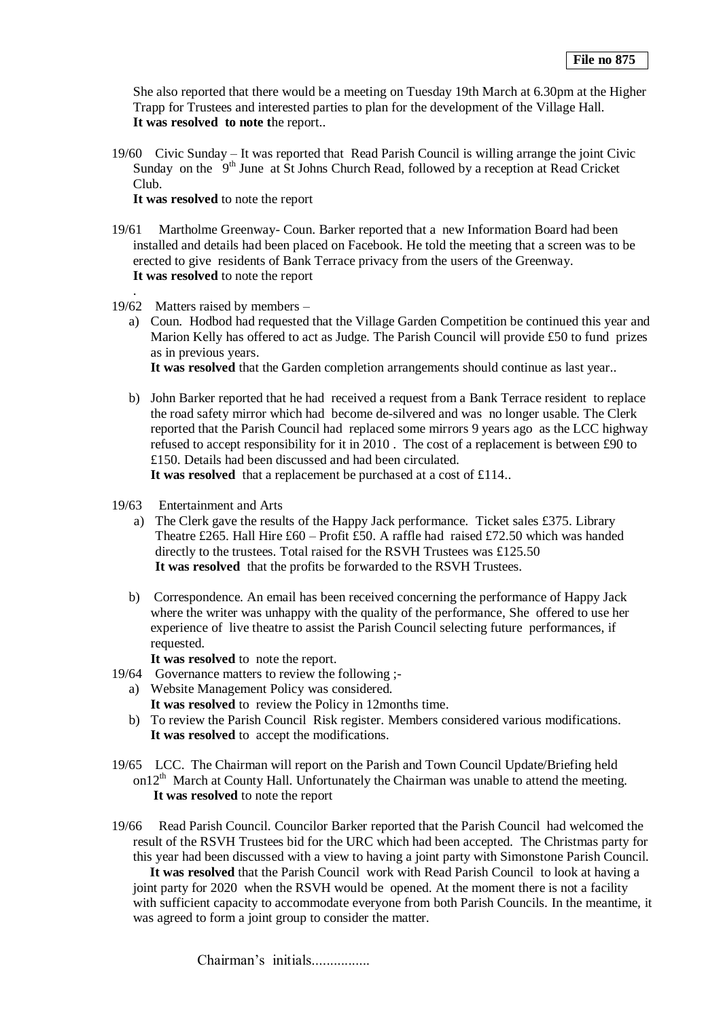She also reported that there would be a meeting on Tuesday 19th March at 6.30pm at the Higher Trapp for Trustees and interested parties to plan for the development of the Village Hall. **It was resolved to note t**he report..

19/60 Civic Sunday – It was reported that Read Parish Council is willing arrange the joint Civic Sunday on the  $9<sup>th</sup>$  June at St Johns Church Read, followed by a reception at Read Cricket Club.

**It was resolved** to note the report

- 19/61 Martholme Greenway- Coun. Barker reported that a new Information Board had been installed and details had been placed on Facebook. He told the meeting that a screen was to be erected to give residents of Bank Terrace privacy from the users of the Greenway. **It was resolved** to note the report
- . 19/62 Matters raised by members –
	- a) Coun. Hodbod had requested that the Village Garden Competition be continued this year and Marion Kelly has offered to act as Judge. The Parish Council will provide £50 to fund prizes as in previous years.

**It was resolved** that the Garden completion arrangements should continue as last year..

- b) John Barker reported that he had received a request from a Bank Terrace resident to replace the road safety mirror which had become de-silvered and was no longer usable. The Clerk reported that the Parish Council had replaced some mirrors 9 years ago as the LCC highway refused to accept responsibility for it in 2010 . The cost of a replacement is between £90 to £150. Details had been discussed and had been circulated. It was resolved that a replacement be purchased at a cost of £114...
- 19/63 Entertainment and Arts
	- a) The Clerk gave the results of the Happy Jack performance. Ticket sales £375. Library Theatre £265. Hall Hire £60 – Profit £50. A raffle had raised £72.50 which was handed directly to the trustees. Total raised for the RSVH Trustees was £125.50 **It was resolved** that the profits be forwarded to the RSVH Trustees.
	- b) Correspondence. An email has been received concerning the performance of Happy Jack where the writer was unhappy with the quality of the performance, She offered to use her experience of live theatre to assist the Parish Council selecting future performances, if requested.

**It was resolved** to note the report.

- 19/64 Governance matters to review the following ;
	- a) Website Management Policy was considered.
	- **It was resolved** to review the Policy in 12months time. b) To review the Parish Council Risk register. Members considered various modifications.
	- **It was resolved** to accept the modifications.
- 19/65 LCC. The Chairman will report on the Parish and Town Council Update/Briefing held on12<sup>th</sup> March at County Hall. Unfortunately the Chairman was unable to attend the meeting.  **It was resolved** to note the report
- 19/66 Read Parish Council. Councilor Barker reported that the Parish Council had welcomed the result of the RSVH Trustees bid for the URC which had been accepted. The Christmas party for this year had been discussed with a view to having a joint party with Simonstone Parish Council. **It was resolved** that the Parish Council work with Read Parish Council to look at having a

joint party for 2020 when the RSVH would be opened. At the moment there is not a facility with sufficient capacity to accommodate everyone from both Parish Councils. In the meantime, it was agreed to form a joint group to consider the matter.